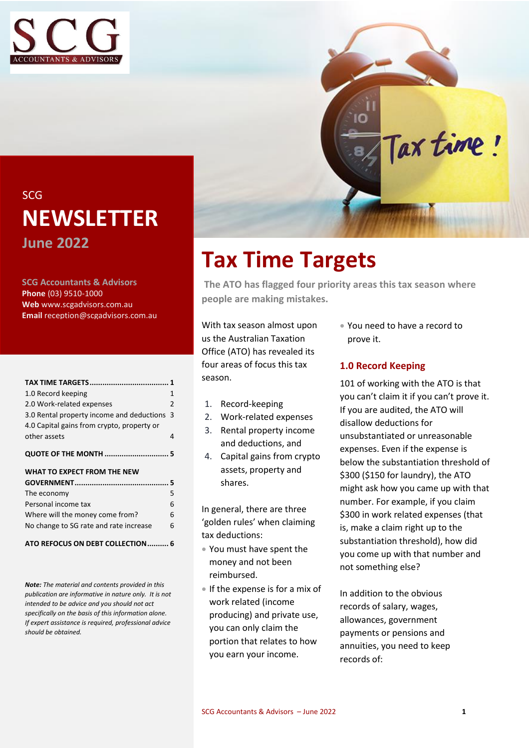



## SCG **NEWSLETTER June 2022**

**SCG Accountants & Advisors Phone** (03) 9510-1000 **Web** www.scgadvisors.com.au **Email** reception@scgadvisors.com.au

| 1.0 Record keeping                         | 1  |
|--------------------------------------------|----|
| 2.0 Work-related expenses                  | 2  |
| 3.0 Rental property income and deductions  | -3 |
| 4.0 Capital gains from crypto, property or |    |
| other assets                               | 4  |
|                                            |    |
| WHAT TO EXPECT FROM THE NEW                |    |
|                                            |    |
| The economy                                | 5  |
| Personal income tax                        | 6  |
| Where will the money come from?            | հ  |

#### **[ATO REFOCUS ON DEBT COLLECTION..........](#page-5-3) 6**

*Note: The material and contents provided in this publication are informative in nature only. It is not intended to be advice and you should not act specifically on the basis of this information alone. If expert assistance is required, professional advice should be obtained.*

## <span id="page-0-0"></span>**Tax Time Targets**

**The ATO has flagged four priority areas this tax season where people are making mistakes.**

With tax season almost upon us the Australian Taxation Office (ATO) has revealed its four areas of focus this tax season.

- 1. Record-keeping
- 2. Work-related expenses
- 3. Rental property income and deductions, and
- 4. Capital gains from crypto assets, property and shares.

In general, there are three 'golden rules' when claiming tax deductions:

- You must have spent the money and not been reimbursed.
- If the expense is for a mix of work related (income producing) and private use, you can only claim the portion that relates to how you earn your income.

• You need to have a record to prove it.

## <span id="page-0-1"></span>**1.0 Record Keeping**

101 of working with the ATO is that you can't claim it if you can't prove it. If you are audited, the ATO will disallow deductions for unsubstantiated or unreasonable expenses. Even if the expense is below the substantiation threshold of \$300 (\$150 for laundry), the ATO might ask how you came up with that number. For example, if you claim \$300 in work related expenses (that is, make a claim right up to the substantiation threshold), how did you come up with that number and not something else?

In addition to the obvious records of salary, wages, allowances, government payments or pensions and annuities, you need to keep records of: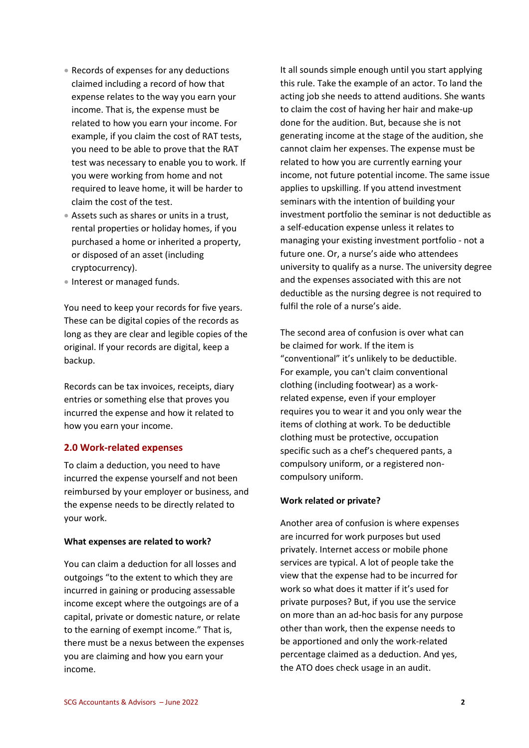- Records of expenses for any deductions claimed including a record of how that expense relates to the way you earn your income. That is, the expense must be related to how you earn your income. For example, if you claim the cost of RAT tests, you need to be able to prove that the RAT test was necessary to enable you to work. If you were working from home and not required to leave home, it will be harder to claim the cost of the test.
- Assets such as shares or units in a trust, rental properties or holiday homes, if you purchased a home or inherited a property, or disposed of an asset (including cryptocurrency).
- Interest or managed funds.

You need to keep your records for five years. These can be digital copies of the records as long as they are clear and legible copies of the original. If your records are digital, keep a backup.

Records can be tax invoices, receipts, diary entries or something else that proves you incurred the expense and how it related to how you earn your income.

#### <span id="page-1-0"></span>**2.0 Work-related expenses**

To claim a deduction, you need to have incurred the expense yourself and not been reimbursed by your employer or business, and the expense needs to be directly related to your work.

#### **What expenses are related to work?**

You can claim a deduction for all losses and outgoings "to the extent to which they are incurred in gaining or producing assessable income except where the outgoings are of a capital, private or domestic nature, or relate to the earning of exempt income." That is, there must be a nexus between the expenses you are claiming and how you earn your income.

It all sounds simple enough until you start applying this rule. Take the example of an actor. To land the acting job she needs to attend auditions. She wants to claim the cost of having her hair and make-up done for the audition. But, because she is not generating income at the stage of the audition, she cannot claim her expenses. The expense must be related to how you are currently earning your income, not future potential income. The same issue applies to upskilling. If you attend investment seminars with the intention of building your investment portfolio the seminar is not deductible as a self-education expense unless it relates to managing your existing investment portfolio - not a future one. Or, a nurse's aide who attendees university to qualify as a nurse. The university degree and the expenses associated with this are not deductible as the nursing degree is not required to fulfil the role of a nurse's aide.

The second area of confusion is over what can be claimed for work. If the item is "conventional" it's unlikely to be deductible. For example, you can't claim conventional clothing (including footwear) as a workrelated expense, even if your employer requires you to wear it and you only wear the items of clothing at work. To be deductible clothing must be protective, occupation specific such as a chef's chequered pants, a compulsory uniform, or a registered noncompulsory uniform.

#### **Work related or private?**

Another area of confusion is where expenses are incurred for work purposes but used privately. Internet access or mobile phone services are typical. A lot of people take the view that the expense had to be incurred for work so what does it matter if it's used for private purposes? But, if you use the service on more than an ad-hoc basis for any purpose other than work, then the expense needs to be apportioned and only the work-related percentage claimed as a deduction. And yes, the ATO does check usage in an audit.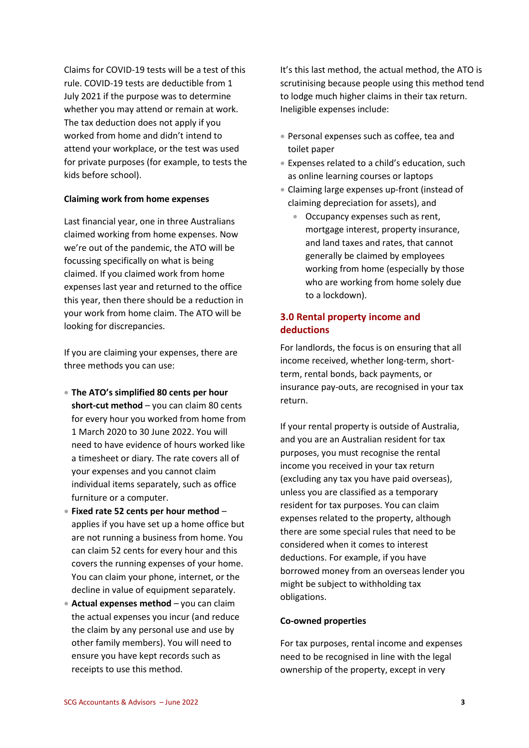Claims for COVID-19 tests will be a test of this rule. COVID-19 tests are deductible from 1 July 2021 if the purpose was to determine whether you may attend or remain at work. The tax deduction does not apply if you worked from home and didn't intend to attend your workplace, or the test was used for private purposes (for example, to tests the kids before school).

#### **Claiming work from home expenses**

Last financial year, one in three Australians claimed working from home expenses. Now we're out of the pandemic, the ATO will be focussing specifically on what is being claimed. If you claimed work from home expenses last year and returned to the office this year, then there should be a reduction in your work from home claim. The ATO will be looking for discrepancies.

If you are claiming your expenses, there are three methods you can use:

- **The ATO's simplified 80 cents per hour short-cut method** – you can claim 80 cents for every hour you worked from home from 1 March 2020 to 30 June 2022. You will need to have evidence of hours worked like a timesheet or diary. The rate covers all of your expenses and you cannot claim individual items separately, such as office furniture or a computer.
- **Fixed rate 52 cents per hour method** applies if you have set up a home office but are not running a business from home. You can claim 52 cents for every hour and this covers the running expenses of your home. You can claim your phone, internet, or the decline in value of equipment separately.
- **Actual expenses method** you can claim the actual expenses you incur (and reduce the claim by any personal use and use by other family members). You will need to ensure you have kept records such as receipts to use this method.

It's this last method, the actual method, the ATO is scrutinising because people using this method tend to lodge much higher claims in their tax return. Ineligible expenses include:

- Personal expenses such as coffee, tea and toilet paper
- Expenses related to a child's education, such as online learning courses or laptops
- Claiming large expenses up-front (instead of claiming depreciation for assets), and
	- Occupancy expenses such as rent, mortgage interest, property insurance, and land taxes and rates, that cannot generally be claimed by employees working from home (especially by those who are working from home solely due to a lockdown).

## <span id="page-2-0"></span>**3.0 Rental property income and deductions**

For landlords, the focus is on ensuring that all income received, whether long-term, shortterm, rental bonds, back payments, or insurance pay-outs, are recognised in your tax return.

If your rental property is outside of Australia, and you are an Australian resident for tax purposes, you must recognise the rental income you received in your tax return (excluding any tax you have paid overseas), unless you are classified as a temporary resident for tax purposes. You can claim expenses related to the property, although there are some special rules that need to be considered when it comes to interest deductions. For example, if you have borrowed money from an overseas lender you might be subject to withholding tax obligations.

#### **Co-owned properties**

For tax purposes, rental income and expenses need to be recognised in line with the legal ownership of the property, except in very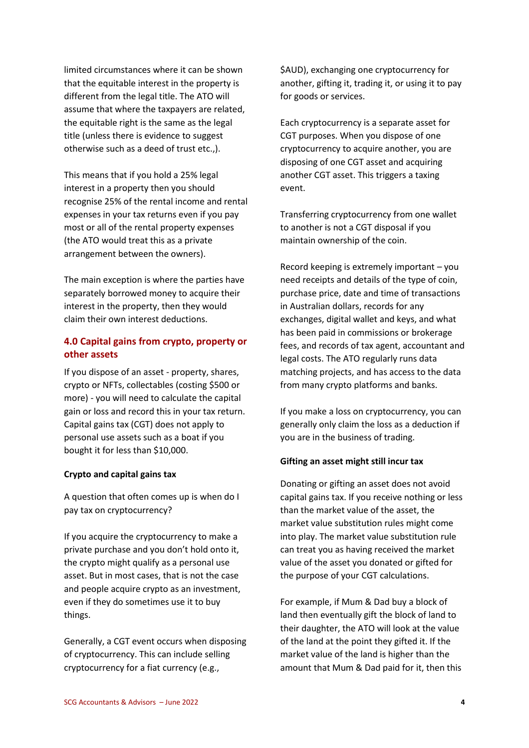limited circumstances where it can be shown that the equitable interest in the property is different from the legal title. The ATO will assume that where the taxpayers are related, the equitable right is the same as the legal title (unless there is evidence to suggest otherwise such as a deed of trust etc.,).

This means that if you hold a 25% legal interest in a property then you should recognise 25% of the rental income and rental expenses in your tax returns even if you pay most or all of the rental property expenses (the ATO would treat this as a private arrangement between the owners).

The main exception is where the parties have separately borrowed money to acquire their interest in the property, then they would claim their own interest deductions.

## <span id="page-3-0"></span>**4.0 Capital gains from crypto, property or other assets**

If you dispose of an asset - property, shares, crypto or NFTs, collectables (costing \$500 or more) - you will need to calculate the capital gain or loss and record this in your tax return. Capital gains tax (CGT) does not apply to personal use assets such as a boat if you bought it for less than \$10,000.

#### **Crypto and capital gains tax**

A question that often comes up is when do I pay tax on cryptocurrency?

If you acquire the cryptocurrency to make a private purchase and you don't hold onto it, the crypto might qualify as a personal use asset. But in most cases, that is not the case and people acquire crypto as an investment, even if they do sometimes use it to buy things.

Generally, a CGT event occurs when disposing of cryptocurrency. This can include selling cryptocurrency for a fiat currency (e.g.,

\$AUD), exchanging one cryptocurrency for another, gifting it, trading it, or using it to pay for goods or services.

Each cryptocurrency is a separate asset for CGT purposes. When you dispose of one cryptocurrency to acquire another, you are disposing of one CGT asset and acquiring another CGT asset. This triggers a taxing event.

Transferring cryptocurrency from one wallet to another is not a CGT disposal if you maintain ownership of the coin.

Record keeping is extremely important – you need receipts and details of the type of coin, purchase price, date and time of transactions in Australian dollars, records for any exchanges, digital wallet and keys, and what has been paid in commissions or brokerage fees, and records of tax agent, accountant and legal costs. The ATO regularly runs data matching projects, and has access to the data from many crypto platforms and banks.

If you make a loss on cryptocurrency, you can generally only claim the loss as a deduction if you are in the business of trading.

#### **Gifting an asset might still incur tax**

Donating or gifting an asset does not avoid capital gains tax. If you receive nothing or less than the market value of the asset, the market value substitution rules might come into play. The market value substitution rule can treat you as having received the market value of the asset you donated or gifted for the purpose of your CGT calculations.

For example, if Mum & Dad buy a block of land then eventually gift the block of land to their daughter, the ATO will look at the value of the land at the point they gifted it. If the market value of the land is higher than the amount that Mum & Dad paid for it, then this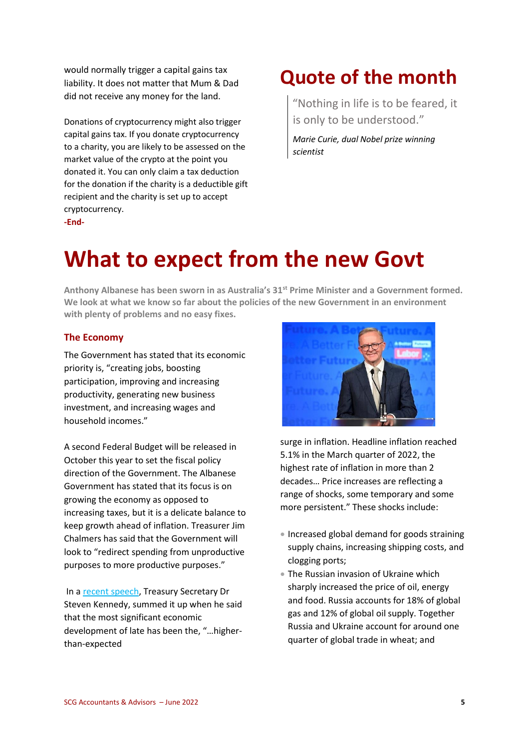would normally trigger a capital gains tax liability. It does not matter that Mum & Dad did not receive any money for the land.

Donations of cryptocurrency might also trigger capital gains tax. If you donate cryptocurrency to a charity, you are likely to be assessed on the market value of the crypto at the point you donated it. You can only claim a tax deduction for the donation if the charity is a deductible gift recipient and the charity is set up to accept cryptocurrency. **-End-**

## <span id="page-4-0"></span>**Quote of the month**

"Nothing in life is to be feared, it is only to be understood."

*Marie Curie, dual Nobel prize winning scientist*

## <span id="page-4-1"></span>**What to expect from the new Govt**

**Anthony Albanese has been sworn in as Australia's 31st Prime Minister and a Government formed. We look at what we know so far about the policies of the new Government in an environment with plenty of problems and no easy fixes.**

## <span id="page-4-2"></span>**The Economy**

The Government has stated that its economic priority is, "creating jobs, boosting participation, improving and increasing productivity, generating new business investment, and increasing wages and household incomes."

A second Federal Budget will be released in October this year to set the fiscal policy direction of the Government. The Albanese Government has stated that its focus is on growing the economy as opposed to increasing taxes, but it is a delicate balance to keep growth ahead of inflation. Treasurer Jim Chalmers has said that the Government will look to "redirect spending from unproductive purposes to more productive purposes."

In a [recent speech,](https://treasury.gov.au/sites/default/files/2022-06/220608-drkennedy-abeaddress.pdf) Treasury Secretary Dr Steven Kennedy, summed it up when he said that the most significant economic development of late has been the, "…higherthan-expected



surge in inflation. Headline inflation reached 5.1% in the March quarter of 2022, the highest rate of inflation in more than 2 decades… Price increases are reflecting a range of shocks, some temporary and some more persistent." These shocks include:

- Increased global demand for goods straining supply chains, increasing shipping costs, and clogging ports;
- The Russian invasion of Ukraine which sharply increased the price of oil, energy and food. Russia accounts for 18% of global gas and 12% of global oil supply. Together Russia and Ukraine account for around one quarter of global trade in wheat; and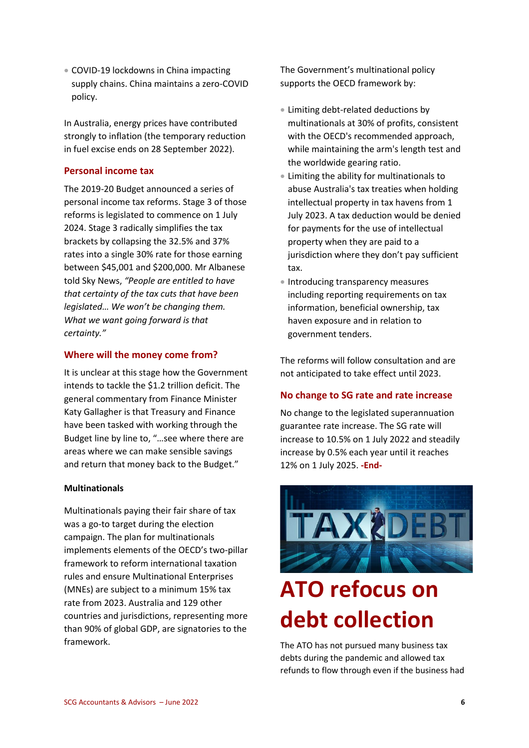• COVID-19 lockdowns in China impacting supply chains. China maintains a zero-COVID policy.

In Australia, energy prices have contributed strongly to inflation (the temporary reduction in fuel excise ends on 28 September 2022).

### <span id="page-5-0"></span>**Personal income tax**

The 2019-20 Budget announced a series of personal income tax reforms. Stage 3 of those reforms is legislated to commence on 1 July 2024. Stage 3 radically simplifies the tax brackets by collapsing the 32.5% and 37% rates into a single 30% rate for those earning between \$45,001 and \$200,000. Mr Albanese told Sky News, *"People are entitled to have that certainty of the tax cuts that have been legislated… We won't be changing them. What we want going forward is that certainty."*

### <span id="page-5-1"></span>**Where will the money come from?**

It is unclear at this stage how the Government intends to tackle the \$1.2 trillion deficit. The general commentary from Finance Minister Katy Gallagher is that Treasury and Finance have been tasked with working through the Budget line by line to, "…see where there are areas where we can make sensible savings and return that money back to the Budget."

#### **Multinationals**

Multinationals paying their fair share of tax was a go-to target during the election campaign. The plan for multinationals implements elements of the OECD's two-pillar framework to reform international taxation rules and ensure Multinational Enterprises (MNEs) are subject to a minimum 15% tax rate from 2023. Australia and 129 other countries and jurisdictions, representing more than 90% of global GDP, are signatories to the framework.

The Government's multinational policy supports the OECD framework by:

- Limiting debt-related deductions by multinationals at 30% of profits, consistent with the OECD's recommended approach, while maintaining the arm's length test and the worldwide gearing ratio.
- Limiting the ability for multinationals to abuse Australia's tax treaties when holding intellectual property in tax havens from 1 July 2023. A tax deduction would be denied for payments for the use of intellectual property when they are paid to a jurisdiction where they don't pay sufficient tax.
- Introducing transparency measures including reporting requirements on tax information, beneficial ownership, tax haven exposure and in relation to government tenders.

The reforms will follow consultation and are not anticipated to take effect until 2023.

#### <span id="page-5-2"></span>**No change to SG rate and rate increase**

No change to the legislated superannuation guarantee rate increase. The SG rate will increase to 10.5% on 1 July 2022 and steadily increase by 0.5% each year until it reaches 12% on 1 July 2025. **-End-**

<span id="page-5-3"></span>

# **ATO refocus on debt collection**

The ATO has not pursued many business tax debts during the pandemic and allowed tax refunds to flow through even if the business had